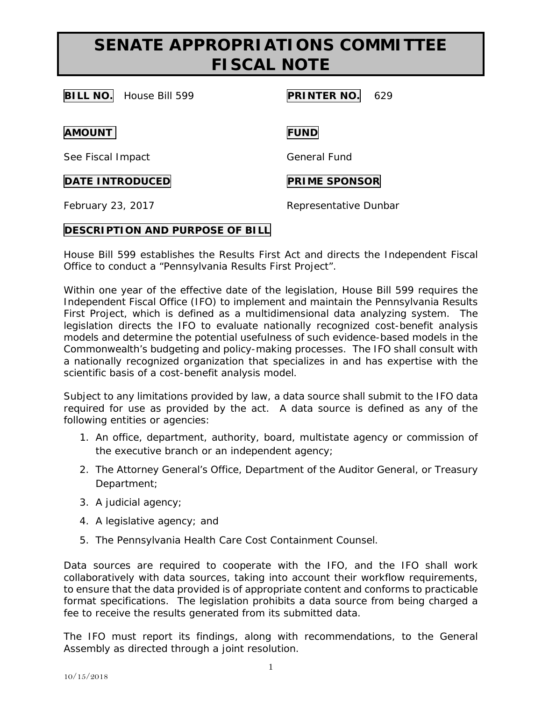## **SENATE APPROPRIATIONS COMMITTEE FISCAL NOTE**

**BILL NO.** House Bill 599 **PRINTER NO.** 629

**AMOUNT FUND**

See Fiscal Impact General Fund

**DATE INTRODUCED PRIME SPONSOR** 

February 23, 2017 **Representative Dunbar** 

## **DESCRIPTION AND PURPOSE OF BILL**

House Bill 599 establishes the Results First Act and directs the Independent Fiscal Office to conduct a "Pennsylvania Results First Project".

Within one year of the effective date of the legislation, House Bill 599 requires the Independent Fiscal Office (IFO) to implement and maintain the Pennsylvania Results First Project, which is defined as a multidimensional data analyzing system. The legislation directs the IFO to evaluate nationally recognized cost-benefit analysis models and determine the potential usefulness of such evidence-based models in the Commonwealth's budgeting and policy-making processes. The IFO shall consult with a nationally recognized organization that specializes in and has expertise with the scientific basis of a cost-benefit analysis model.

Subject to any limitations provided by law, a data source shall submit to the IFO data required for use as provided by the act. A data source is defined as any of the following entities or agencies:

- 1. An office, department, authority, board, multistate agency or commission of the executive branch or an independent agency;
- 2. The Attorney General's Office, Department of the Auditor General, or Treasury Department;
- 3. A judicial agency;
- 4. A legislative agency; and
- 5. The Pennsylvania Health Care Cost Containment Counsel.

Data sources are required to cooperate with the IFO, and the IFO shall work collaboratively with data sources, taking into account their workflow requirements, to ensure that the data provided is of appropriate content and conforms to practicable format specifications. The legislation prohibits a data source from being charged a fee to receive the results generated from its submitted data.

The IFO must report its findings, along with recommendations, to the General Assembly as directed through a joint resolution.